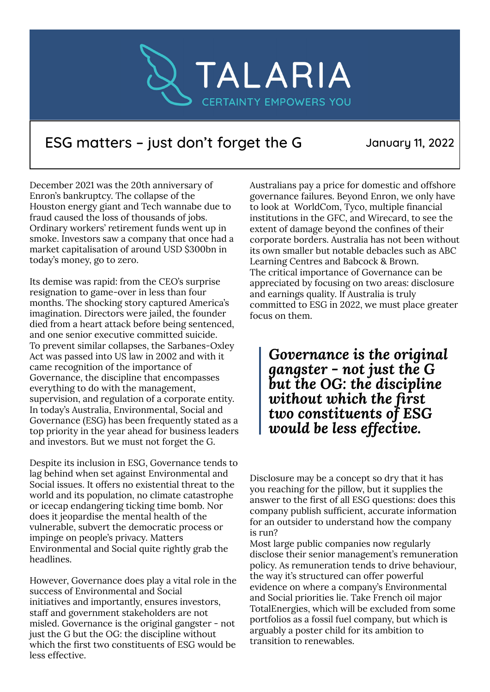

## ESG matters – just don't forget the G January 11, 2022

December 2021 was the 20th anniversary of Enron's bankruptcy. The collapse of the Houston energy giant and Tech wannabe due to fraud caused the loss of thousands of jobs. Ordinary workers' retirement funds went up in smoke. Investors saw a company that once had a market capitalisation of around USD \$300bn in today's money, go to zero.

Its demise was rapid: from the CEO's surprise resignation to game-over in less than four months. The shocking story captured America's imagination. Directors were jailed, the founder died from a heart attack before being sentenced, and one senior executive committed suicide. To prevent similar collapses, the Sarbanes-Oxley Act was passed into US law in 2002 and with it came recognition of the importance of Governance, the discipline that encompasses everything to do with the management, supervision, and regulation of a corporate entity. In today's Australia, Environmental, Social and Governance (ESG) has been frequently stated as a top priority in the year ahead for business leaders and investors. But we must not forget the G.

Despite its inclusion in ESG, Governance tends to lag behind when set against Environmental and Social issues. It offers no existential threat to the world and its population, no climate catastrophe or icecap endangering ticking time bomb. Nor does it jeopardise the mental health of the vulnerable, subvert the democratic process or impinge on people's privacy. Matters Environmental and Social quite rightly grab the headlines.

However, Governance does play a vital role in the success of Environmental and Social initiatives and importantly, ensures investors, staff and government stakeholders are not misled. Governance is the original gangster - not just the G but the OG: the discipline without which the first two constituents of ESG would be less effective.

Australians pay a price for domestic and offshore governance failures. Beyond Enron, we only have to look at WorldCom, Tyco, multiple financial institutions in the GFC, and Wirecard, to see the extent of damage beyond the confines of their corporate borders. Australia has not been without its own smaller but notable debacles such as ABC Learning Centres and Babcock & Brown. The critical importance of Governance can be appreciated by focusing on two areas: disclosure and earnings quality. If Australia is truly committed to ESG in 2022, we must place greater focus on them.

*Governance is the original gangster - not just the G but the OG: the discipline without which the first two constituents of ESG would be less effective.*

Disclosure may be a concept so dry that it has you reaching for the pillow, but it supplies the answer to the first of all ESG questions: does this company publish sufficient, accurate information for an outsider to understand how the company is run?

Most large public companies now regularly disclose their senior management's remuneration policy. As remuneration tends to drive behaviour, the way it's structured can offer powerful evidence on where a company's Environmental and Social priorities lie. Take French oil major TotalEnergies, which will be excluded from some portfolios as a fossil fuel company, but which is arguably a poster child for its ambition to transition to renewables.